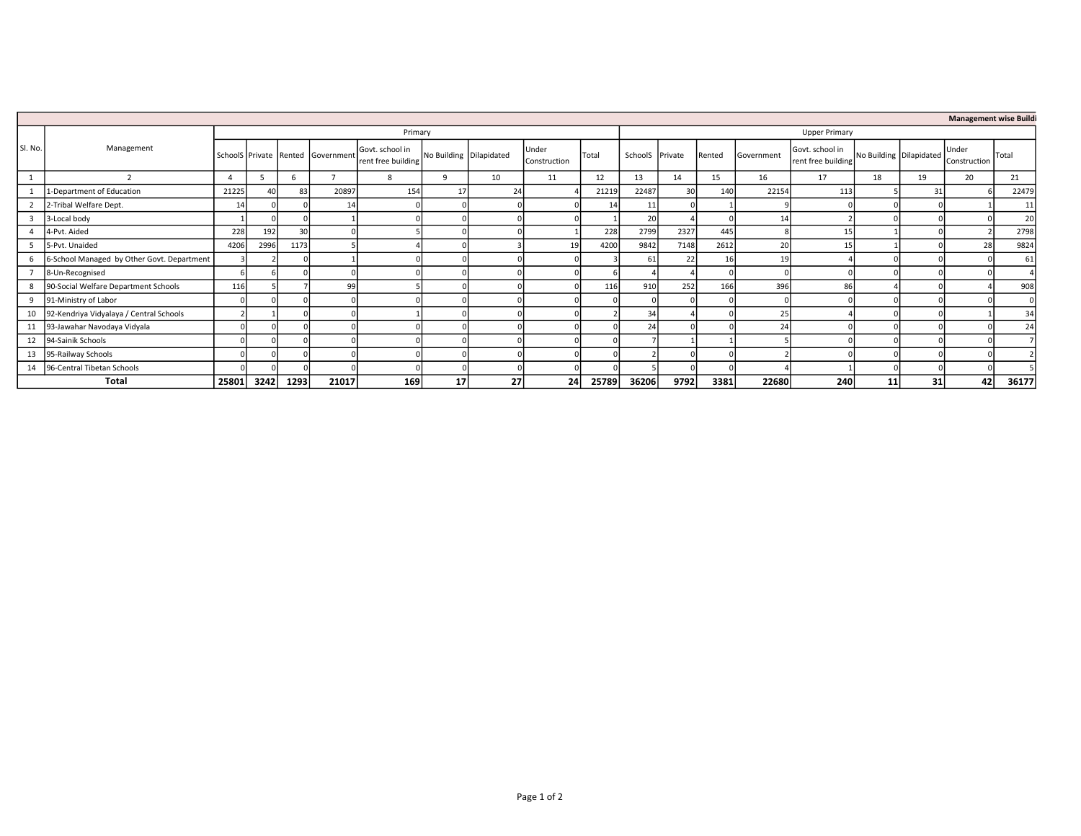| <b>Management wise Buildi</b> |                                            |         |                |      |                                   |                                       |                         |    |                       |       |                 |                      |        |            |                                       |    |                         |                       |               |  |  |
|-------------------------------|--------------------------------------------|---------|----------------|------|-----------------------------------|---------------------------------------|-------------------------|----|-----------------------|-------|-----------------|----------------------|--------|------------|---------------------------------------|----|-------------------------|-----------------------|---------------|--|--|
| SI. No.                       |                                            | Primary |                |      |                                   |                                       |                         |    |                       |       |                 | <b>Upper Primary</b> |        |            |                                       |    |                         |                       |               |  |  |
|                               | Management                                 |         |                |      | SchoolS Private Rented Government | Govt. school in<br>rent free building | No Building Dilapidated |    | Under<br>Construction | Total | SchoolS Private |                      | Rented | Government | Govt. school in<br>rent free building |    | No Building Dilapidated | Under<br>Construction | Total         |  |  |
|                               |                                            |         |                |      |                                   | 8                                     |                         | 10 | 11                    | 12    | 13              | 14                   | 15     | 16         | 17                                    | 18 | 19                      | 20                    | 21            |  |  |
|                               | 1-Department of Education                  | 21225   | 4 <sup>c</sup> | 83   | 20897                             | 154                                   | 17                      |    |                       | 21219 | 22487           | 30                   | 140    | 22154      | 113                                   |    | 31                      |                       | 22479         |  |  |
|                               | 2-Tribal Welfare Dept.                     | 14      |                |      | 14                                |                                       |                         |    |                       | 14 I  | 11              |                      |        |            |                                       |    |                         |                       |               |  |  |
|                               | 3-Local body                               |         |                |      |                                   |                                       |                         |    |                       |       | 20              |                      |        | 14         |                                       |    |                         |                       |               |  |  |
|                               | 4-Pvt. Aided                               | 228     | 192            | 30   |                                   |                                       |                         |    |                       | 228   | 2799            | 2327                 | 445    |            | 15                                    |    |                         |                       | 2798          |  |  |
| 5                             | 5-Pvt. Unaided                             | 4206    | 2996           | 1173 |                                   |                                       |                         |    | 19                    | 4200  | 9842            | 7148                 | 2612   | 20         |                                       |    |                         |                       | 9824          |  |  |
| 6                             | 6-School Managed by Other Govt. Department |         |                |      |                                   |                                       |                         |    |                       |       | 61              | 22                   | 16     | 19         |                                       |    |                         |                       | $6^{\circ}$   |  |  |
|                               | 8-Un-Recognised                            |         |                |      |                                   |                                       |                         |    |                       |       |                 |                      |        |            |                                       |    |                         |                       |               |  |  |
| 8                             | 90-Social Welfare Department Schools       | 116     |                |      | 99                                |                                       |                         |    |                       | 116   | 910             | 252                  | 166    | 396        | 86                                    |    |                         |                       | 908           |  |  |
|                               | 9 91-Ministry of Labor                     |         |                |      |                                   |                                       |                         |    |                       |       |                 |                      |        |            |                                       |    |                         |                       |               |  |  |
| 10                            | 92-Kendriya Vidyalaya / Central Schools    |         |                |      |                                   |                                       |                         |    |                       |       | 34              |                      |        | 25         |                                       |    |                         |                       | $\mathcal{R}$ |  |  |
| 11                            | 93-Jawahar Navodaya Vidyala                |         |                |      |                                   |                                       |                         |    |                       |       | 24              |                      |        | 24         |                                       |    |                         |                       |               |  |  |
|                               | 12 94-Sainik Schools                       |         |                |      |                                   |                                       |                         |    |                       |       |                 |                      |        |            |                                       |    |                         |                       |               |  |  |
| 13                            | 95-Railway Schools                         |         |                |      |                                   |                                       |                         |    |                       |       |                 |                      |        |            |                                       |    |                         |                       |               |  |  |
| 14                            | 96-Central Tibetan Schools                 |         |                |      |                                   |                                       |                         |    |                       |       |                 |                      |        |            |                                       |    |                         |                       |               |  |  |
|                               | Total                                      | 25801   | 3242           | 1293 | 21017                             | 169                                   | 17                      | 27 | 24                    | 25789 | 36206           | 9792                 | 3381   | 22680      | 240                                   | 11 | 31                      | 42                    | 36177         |  |  |